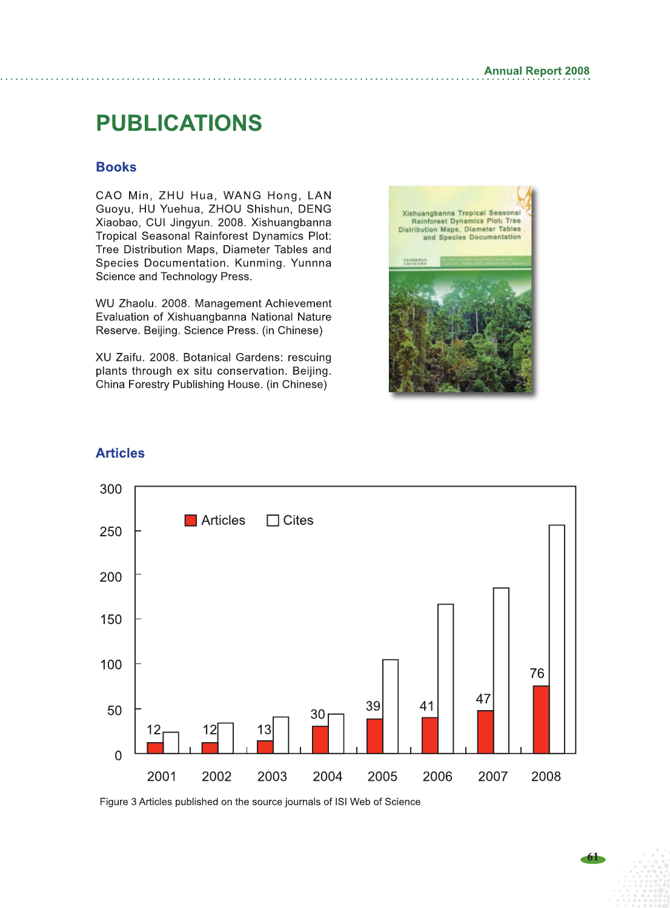## **PUBLICATIONS**

## **Books**

CAO Min, ZHU Hua, WANG Hong, LAN Guoyu, HU Yuehua, ZHOU Shishun, DENG Xiaobao, CUI Jingyun. 2008. Xishuangbanna Tropical Seasonal Rainforest Dynamics Plot: Tree Distribution Maps, Diameter Tables and Species Documentation. Kunming. Yunnna Science and Technology Press.

WU Zhaolu. 2008. Management Achievement Evaluation of Xishuangbanna National Nature Reserve. Beijing. Science Press. (in Chinese)

XU Zaifu. 2008. Botanical Gardens: rescuing plants through ex situ conservation. Beijing. China Forestry Publishing House. (in Chinese)





## **Articles**

Figure 3 Articles published on the source journals of ISI Web of Science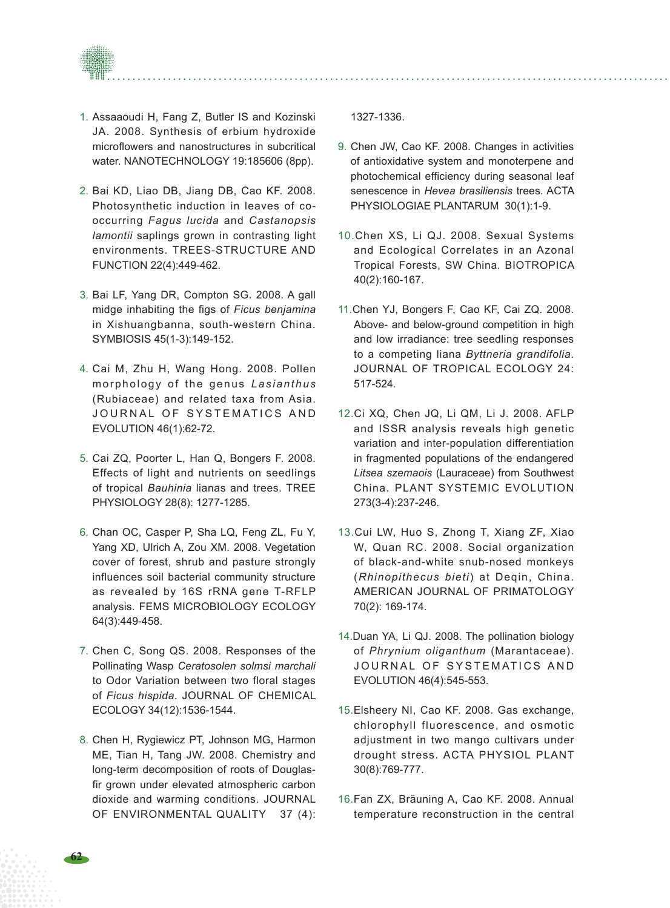

- 1. Assaaoudi H, Fang Z, Butler IS and Kozinski JA. 2008. Synthesis of erbium hydroxide microflowers and nanostructures in subcritical water. NANOTECHNOLOGY 19:185606 (8pp).
- 2. Bai KD, Liao DB, Jiang DB, Cao KF. 2008. Photosynthetic induction in leaves of cooccurring *Fagus lucida* and *Castanopsis lamontii* saplings grown in contrasting light environments. TREES-STRUCTURE AND FUNCTION 22(4):449-462.
- 3. Bai LF, Yang DR, Compton SG. 2008. A gall midge inhabiting the figs of *Ficus benjamina* in Xishuangbanna, south-western China. SYMBIOSIS 45(1-3):149-152.
- 4. Cai M, Zhu H, Wang Hong. 2008. Pollen morphology of the genus *Lasianthus* (Rubiaceae) and related taxa from Asia. JOURNAL OF SYSTEMATICS AND EVOLUTION 46(1):62-72.
- 5. Cai ZQ, Poorter L, Han Q, Bongers F. 2008. Effects of light and nutrients on seedlings of tropical *Bauhinia* lianas and trees. TREE PHYSIOLOGY 28(8): 1277-1285.
- 6. Chan OC, Casper P, Sha LQ, Feng ZL, Fu Y, Yang XD, Ulrich A, Zou XM. 2008. Vegetation cover of forest, shrub and pasture strongly influences soil bacterial community structure as revealed by 16S rRNA gene T-RFLP analysis. FEMS MICROBIOLOGY ECOLOGY 64(3):449-458.
- 7. Chen C, Song QS. 2008. Responses of the Pollinating Wasp *Ceratosolen solmsi marchali*  to Odor Variation between two floral stages of *Ficus hispida*. JOURNAL OF CHEMICAL ECOLOGY 34(12):1536-1544.
- 8. Chen H, Rygiewicz PT, Johnson MG, Harmon ME, Tian H, Tang JW. 2008. Chemistry and long-term decomposition of roots of Douglasfir grown under elevated atmospheric carbon dioxide and warming conditions. JOURNAL OF ENVIRONMENTAL QUALITY 37 (4):

1327-1336.

- 9. Chen JW, Cao KF. 2008. Changes in activities of antioxidative system and monoterpene and photochemical efficiency during seasonal leaf senescence in *Hevea brasiliensis* trees. ACTA PHYSIOLOGIAE PLANTARUM 30(1):1-9.
- 10.Chen XS, Li QJ. 2008. Sexual Systems and Ecological Correlates in an Azonal Tropical Forests, SW China. BIOTROPICA 40(2):160-167.
- 11.Chen YJ, Bongers F, Cao KF, Cai ZQ. 2008. Above- and below-ground competition in high and low irradiance: tree seedling responses to a competing liana *Byttneria grandifolia*. JOURNAL OF TROPICAL ECOLOGY 24: 517-524.
- 12.Ci XQ, Chen JQ, Li QM, Li J. 2008. AFLP and ISSR analysis reveals high genetic variation and inter-population differentiation in fragmented populations of the endangered *Litsea szemaois* (Lauraceae) from Southwest China. PLANT SYSTEMIC EVOLUTION 273(3-4):237-246.
- 13.Cui LW, Huo S, Zhong T, Xiang ZF, Xiao W, Quan RC. 2008. Social organization of black-and-white snub-nosed monkeys (*Rhinopithecus bieti*) at Deqin, China. AMERICAN JOURNAL OF PRIMATOLOGY 70(2): 169-174.
- 14.Duan YA, Li QJ. 2008. The pollination biology of *Phrynium oliganthum* (Marantaceae). JOURNAL OF SYSTEMATICS AND EVOLUTION 46(4):545-553.
- 15.Elsheery NI, Cao KF. 2008. Gas exchange, chlorophyll fluorescence, and osmotic adjustment in two mango cultivars under drought stress. ACTA PHYSIOL PLANT 30(8):769-777.
- 16.Fan ZX, Bräuning A, Cao KF. 2008. Annual temperature reconstruction in the central

**62**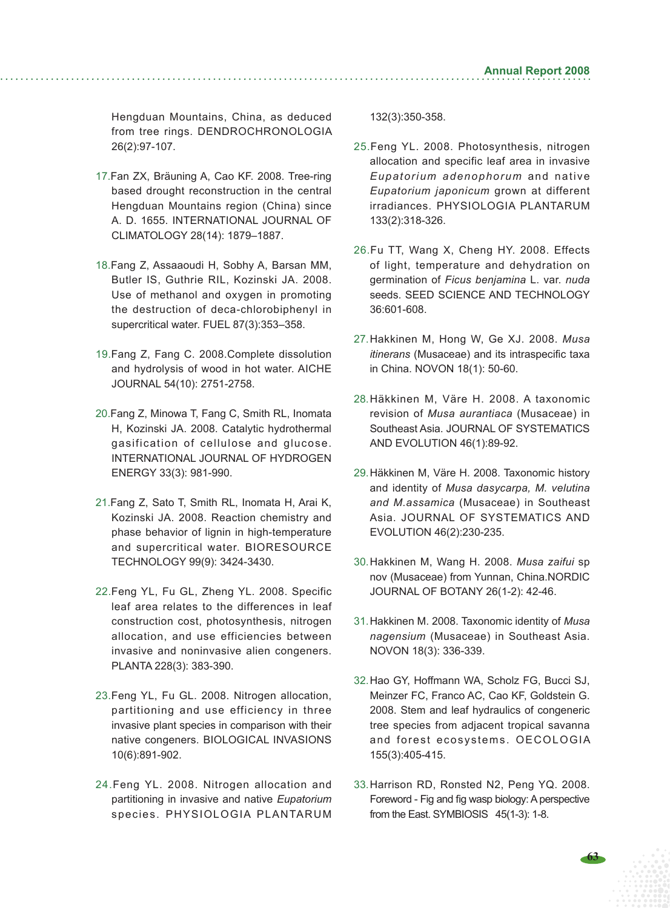Hengduan Mountains, China, as deduced from tree rings. DENDROCHRONOLOGIA 26(2):97-107.

- 17.Fan ZX, Bräuning A, Cao KF. 2008. Tree-ring based drought reconstruction in the central Hengduan Mountains region (China) since A. D. 1655. INTERNATIONAL JOURNAL OF CLIMATOLOGY 28(14): 1879–1887.
- 18.Fang Z, Assaaoudi H, Sobhy A, Barsan MM, Butler IS, Guthrie RIL, Kozinski JA. 2008. Use of methanol and oxygen in promoting the destruction of deca-chlorobiphenyl in supercritical water. FUEL 87(3):353–358.
- 19.Fang Z, Fang C. 2008.Complete dissolution and hydrolysis of wood in hot water. AICHE JOURNAL 54(10): 2751-2758.
- 20.Fang Z, Minowa T, Fang C, Smith RL, Inomata H, Kozinski JA. 2008. Catalytic hydrothermal gasification of cellulose and glucose. INTERNATIONAL JOURNAL OF HYDROGEN ENERGY 33(3): 981-990.
- 21.Fang Z, Sato T, Smith RL, Inomata H, Arai K, Kozinski JA. 2008. Reaction chemistry and phase behavior of lignin in high-temperature and supercritical water. BIORESOURCE TECHNOLOGY 99(9): 3424-3430.
- 22.Feng YL, Fu GL, Zheng YL. 2008. Specific leaf area relates to the differences in leaf construction cost, photosynthesis, nitrogen allocation, and use efficiencies between invasive and noninvasive alien congeners. PLANTA 228(3): 383-390.
- 23.Feng YL, Fu GL. 2008. Nitrogen allocation, partitioning and use efficiency in three invasive plant species in comparison with their native congeners. BIOLOGICAL INVASIONS 10(6):891-902.
- 24.Feng YL. 2008. Nitrogen allocation and partitioning in invasive and native *Eupatorium* species. PHYSIOLOGIA PLANTARUM

132(3):350-358.

- 25.Feng YL. 2008. Photosynthesis, nitrogen allocation and specific leaf area in invasive *Eupatorium adenophorum* and native *Eupatorium japonicum* grown at different irradiances. PHYSIOLOGIA PLANTARUM 133(2):318-326.
- 26.Fu TT, Wang X, Cheng HY. 2008. Effects of light, temperature and dehydration on germination of *Ficus benjamina* L. var. *nuda* seeds. SEED SCIENCE AND TECHNOLOGY 36:601-608.
- 27.Hakkinen M, Hong W, Ge XJ. 2008. *Musa itinerans* (Musaceae) and its intraspecific taxa in China. NOVON 18(1): 50-60.
- 28.Häkkinen M, Väre H. 2008. A taxonomic revision of *Musa aurantiaca* (Musaceae) in Southeast Asia. JOURNAL OF SYSTEMATICS AND EVOLUTION 46(1):89-92.
- 29.Häkkinen M, Väre H. 2008. Taxonomic history and identity of *Musa dasycarpa, M. velutina and M.assamica* (Musaceae) in Southeast Asia. JOURNAL OF SYSTEMATICS AND EVOLUTION 46(2):230-235.
- 30.Hakkinen M, Wang H. 2008. *Musa zaifui* sp nov (Musaceae) from Yunnan, China.NORDIC JOURNAL OF BOTANY 26(1-2): 42-46.
- 31.Hakkinen M. 2008. Taxonomic identity of *Musa nagensium* (Musaceae) in Southeast Asia. NOVON 18(3): 336-339.
- 32.Hao GY, Hoffmann WA, Scholz FG, Bucci SJ, Meinzer FC, Franco AC, Cao KF, Goldstein G. 2008. Stem and leaf hydraulics of congeneric tree species from adjacent tropical savanna and forest ecosystems. OECOLOGIA 155(3):405-415.
- 33.Harrison RD, Ronsted N2, Peng YQ. 2008. Foreword - Fig and fig wasp biology: A perspective from the East. SYMBIOSIS 45(1-3): 1-8.

**63**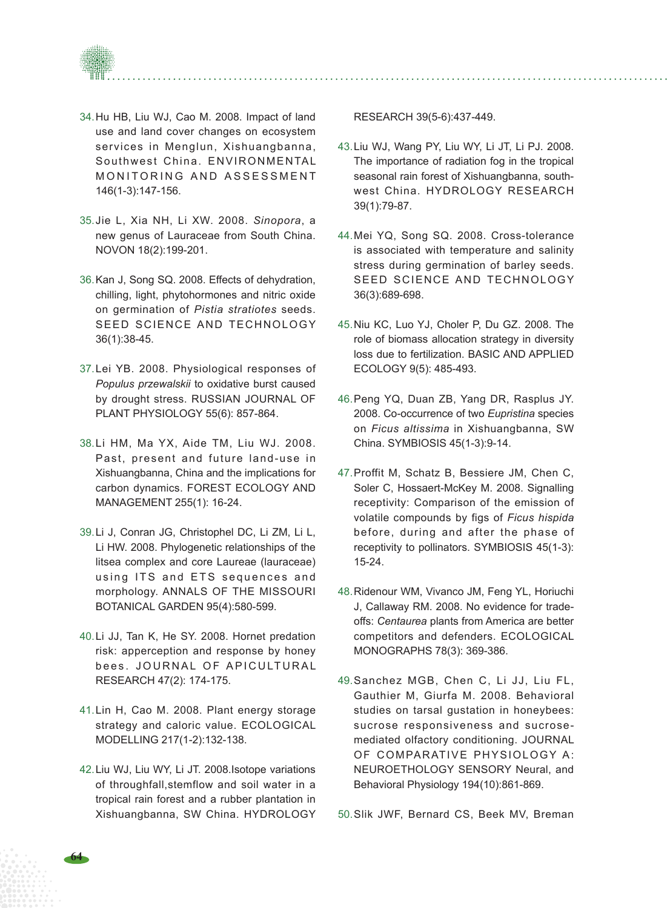

- 34.Hu HB, Liu WJ, Cao M. 2008. Impact of land use and land cover changes on ecosystem services in Menglun, Xishuangbanna, Southwest China. ENVIRONMENTAL MONITORING AND ASSESSMENT 146(1-3):147-156.
- 35.Jie L, Xia NH, Li XW. 2008. *Sinopora*, a new genus of Lauraceae from South China. NOVON 18(2):199-201.
- 36.Kan J, Song SQ. 2008. Effects of dehydration, chilling, light, phytohormones and nitric oxide on germination of *Pistia stratiotes* seeds. SEED SCIENCE AND TECHNOLOGY 36(1):38-45.
- 37.Lei YB. 2008. Physiological responses of *Populus przewalskii* to oxidative burst caused by drought stress. RUSSIAN JOURNAL OF PLANT PHYSIOLOGY 55(6): 857-864.
- 38.Li HM, Ma YX, Aide TM, Liu WJ. 2008. Past, present and future land-use in Xishuangbanna, China and the implications for carbon dynamics. FOREST ECOLOGY AND MANAGEMENT 255(1): 16-24.
- 39.Li J, Conran JG, Christophel DC, Li ZM, Li L, Li HW. 2008. Phylogenetic relationships of the litsea complex and core Laureae (lauraceae) using ITS and ETS sequences and morphology. ANNALS OF THE MISSOURI BOTANICAL GARDEN 95(4):580-599.
- 40.Li JJ, Tan K, He SY. 2008. Hornet predation risk: apperception and response by honey bees. JOURNAL OF APICULTURAL RESEARCH 47(2): 174-175.
- 41.Lin H, Cao M. 2008. Plant energy storage strategy and caloric value. ECOLOGICAL MODELLING 217(1-2):132-138.
- 42.Liu WJ, Liu WY, Li JT. 2008.Isotope variations of throughfall,stemflow and soil water in a tropical rain forest and a rubber plantation in Xishuangbanna, SW China. HYDROLOGY

RESEARCH 39(5-6):437-449.

- 43.Liu WJ, Wang PY, Liu WY, Li JT, Li PJ. 2008. The importance of radiation fog in the tropical seasonal rain forest of Xishuangbanna, southwest China. HYDROLOGY RESEARCH 39(1):79-87.
- 44.Mei YQ, Song SQ. 2008. Cross-tolerance is associated with temperature and salinity stress during germination of barley seeds. SEED SCIENCE AND TECHNOLOGY 36(3):689-698.
- 45.Niu KC, Luo YJ, Choler P, Du GZ. 2008. The role of biomass allocation strategy in diversity loss due to fertilization. BASIC AND APPLIED ECOLOGY 9(5): 485-493.
- 46.Peng YQ, Duan ZB, Yang DR, Rasplus JY. 2008. Co-occurrence of two *Eupristina* species on *Ficus altissima* in Xishuangbanna, SW China. SYMBIOSIS 45(1-3):9-14.
- 47.Proffit M, Schatz B, Bessiere JM, Chen C, Soler C, Hossaert-McKey M. 2008. Signalling receptivity: Comparison of the emission of volatile compounds by figs of *Ficus hispida*  before, during and after the phase of receptivity to pollinators. SYMBIOSIS 45(1-3): 15-24.
- 48.Ridenour WM, Vivanco JM, Feng YL, Horiuchi J, Callaway RM. 2008. No evidence for tradeoffs: *Centaurea* plants from America are better competitors and defenders. ECOLOGICAL MONOGRAPHS 78(3): 369-386.
- 49.Sanchez MGB, Chen C, Li JJ, Liu FL, Gauthier M, Giurfa M. 2008. Behavioral studies on tarsal gustation in honeybees: sucrose responsiveness and sucrosemediated olfactory conditioning. JOURNAL OF COMPARATIVE PHYSIOLOGY A: NEUROETHOLOGY SENSORY Neural, and Behavioral Physiology 194(10):861-869.

50.Slik JWF, Bernard CS, Beek MV, Breman

**64**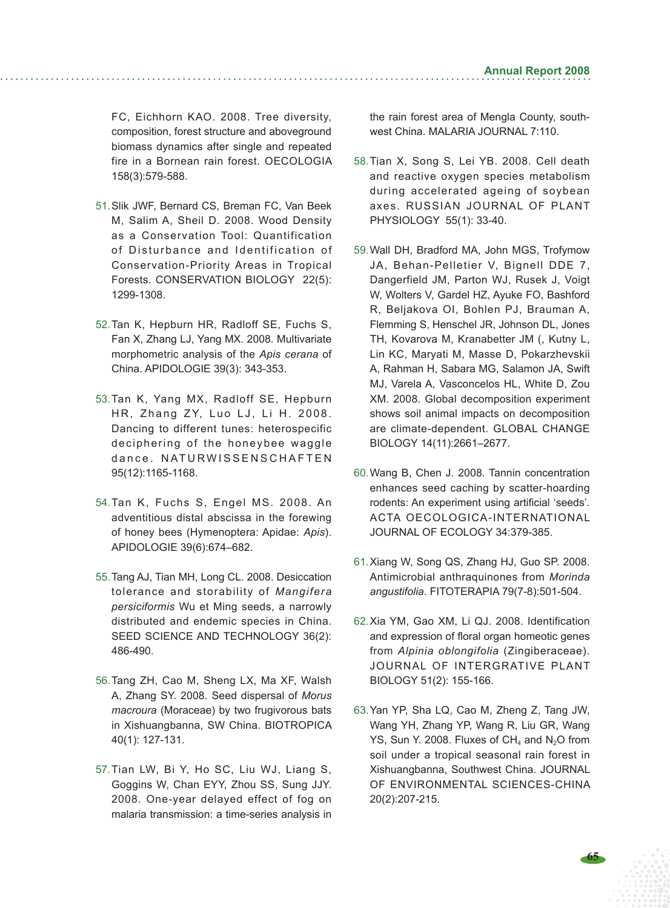FC, Eichhorn KAO. 2008. Tree diversity, composition, forest structure and aboveground biomass dynamics after single and repeated fire in a Bornean rain forest. OECOLOGIA 158(3):579-588.

- 51.Slik JWF, Bernard CS, Breman FC, Van Beek M, Salim A, Sheil D. 2008. Wood Density as a Conservation Tool: Quantification of Disturbance and Identification of Conservation-Priority Areas in Tropical Forests. CONSERVATION BIOLOGY 22(5): 1299-1308.
- 52.Tan K, Hepburn HR, Radloff SE, Fuchs S, Fan X, Zhang LJ, Yang MX. 2008. Multivariate morphometric analysis of the *Apis cerana* of China. APIDOLOGIE 39(3): 343-353.
- 53.Tan K, Yang MX, Radloff SE, Hepburn HR, Zhang ZY, Luo LJ, Li H. 2008. Dancing to different tunes: heterospecific deciphering of the honeybee waggle dance NATURWISSENSCHAFTEN 95(12):1165-1168.
- 54.Tan K, Fuchs S, Engel MS. 2008. An adventitious distal abscissa in the forewing of honey bees (Hymenoptera: Apidae: *Apis*). APIDOLOGIE 39(6):674–682.
- 55.Tang AJ, Tian MH, Long CL. 2008. Desiccation tolerance and storability of *Mangifera persiciformis* Wu et Ming seeds, a narrowly distributed and endemic species in China. SEED SCIENCE AND TECHNOLOGY 36(2): 486-490.
- 56.Tang ZH, Cao M, Sheng LX, Ma XF, Walsh A, Zhang SY. 2008. Seed dispersal of *Morus macroura* (Moraceae) by two frugivorous bats in Xishuangbanna, SW China. BIOTROPICA 40(1): 127-131.
- 57.Tian LW, Bi Y, Ho SC, Liu WJ, Liang S, Goggins W, Chan EYY, Zhou SS, Sung JJY. 2008. One-year delayed effect of fog on malaria transmission: a time-series analysis in

the rain forest area of Mengla County, southwest China. MALARIA JOURNAL 7:110.

- 58.Tian X, Song S, Lei YB. 2008. Cell death and reactive oxygen species metabolism during accelerated ageing of soybean axes. RUSSIAN JOURNAL OF PLANT PHYSIOLOGY 55(1): 33-40.
- 59.Wall DH, Bradford MA, John MGS, Trofymow JA, Behan-Pelletier V, Bignell DDE 7, Dangerfield JM, Parton WJ, Rusek J, Voigt W, Wolters V, Gardel HZ, Ayuke FO, Bashford R, Beljakova OI, Bohlen PJ, Brauman A, Flemming S, Henschel JR, Johnson DL, Jones TH, Kovarova M, Kranabetter JM (, Kutny L, Lin KC, Maryati M, Masse D, Pokarzhevskii A, Rahman H, Sabara MG, Salamon JA, Swift MJ, Varela A, Vasconcelos HL, White D, Zou XM. 2008. Global decomposition experiment shows soil animal impacts on decomposition are climate-dependent. GLOBAL CHANGE BIOLOGY 14(11):2661–2677.
- 60.Wang B, Chen J. 2008. Tannin concentration enhances seed caching by scatter-hoarding rodents: An experiment using artificial 'seeds'. ACTA OECOLOGICA-INTERNATIONAL JOURNAL OF ECOLOGY 34:379-385.
- 61.Xiang W, Song QS, Zhang HJ, Guo SP. 2008. Antimicrobial anthraquinones from *Morinda angustifolia*. FITOTERAPIA 79(7-8):501-504.
- 62.Xia YM, Gao XM, Li QJ. 2008. Identification and expression of floral organ homeotic genes from *Alpinia oblongifolia* (Zingiberaceae). JOURNAL OF INTERGRATIVE PLANT BIOLOGY 51(2): 155-166.
- 63.Yan YP, Sha LQ, Cao M, Zheng Z, Tang JW, Wang YH, Zhang YP, Wang R, Liu GR, Wang YS, Sun Y. 2008. Fluxes of  $CH<sub>4</sub>$  and N<sub>2</sub>O from soil under a tropical seasonal rain forest in Xishuangbanna, Southwest China. JOURNAL OF ENVIRONMENTAL SCIENCES-CHINA 20(2):207-215.